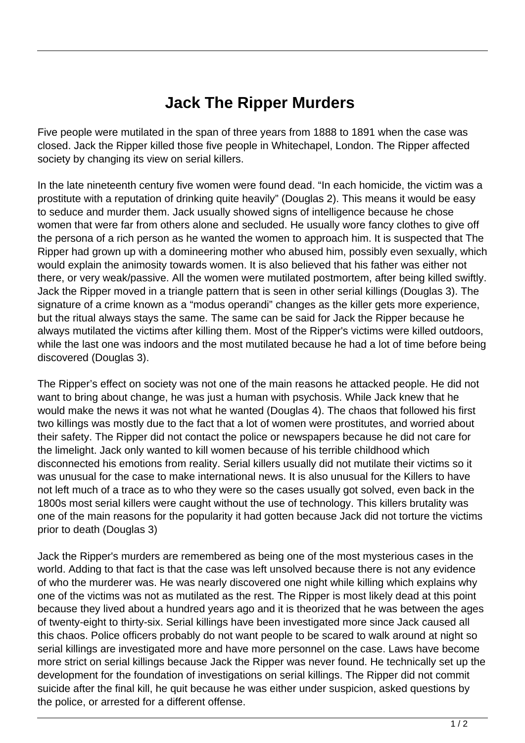## **Jack The Ripper Murders**

Five people were mutilated in the span of three years from 1888 to 1891 when the case was closed. Jack the Ripper killed those five people in Whitechapel, London. The Ripper affected society by changing its view on serial killers.

In the late nineteenth century five women were found dead. "In each homicide, the victim was a prostitute with a reputation of drinking quite heavily" (Douglas 2). This means it would be easy to seduce and murder them. Jack usually showed signs of intelligence because he chose women that were far from others alone and secluded. He usually wore fancy clothes to give off the persona of a rich person as he wanted the women to approach him. It is suspected that The Ripper had grown up with a domineering mother who abused him, possibly even sexually, which would explain the animosity towards women. It is also believed that his father was either not there, or very weak/passive. All the women were mutilated postmortem, after being killed swiftly. Jack the Ripper moved in a triangle pattern that is seen in other serial killings (Douglas 3). The signature of a crime known as a "modus operandi" changes as the killer gets more experience, but the ritual always stays the same. The same can be said for Jack the Ripper because he always mutilated the victims after killing them. Most of the Ripper's victims were killed outdoors, while the last one was indoors and the most mutilated because he had a lot of time before being discovered (Douglas 3).

The Ripper's effect on society was not one of the main reasons he attacked people. He did not want to bring about change, he was just a human with psychosis. While Jack knew that he would make the news it was not what he wanted (Douglas 4). The chaos that followed his first two killings was mostly due to the fact that a lot of women were prostitutes, and worried about their safety. The Ripper did not contact the police or newspapers because he did not care for the limelight. Jack only wanted to kill women because of his terrible childhood which disconnected his emotions from reality. Serial killers usually did not mutilate their victims so it was unusual for the case to make international news. It is also unusual for the Killers to have not left much of a trace as to who they were so the cases usually got solved, even back in the 1800s most serial killers were caught without the use of technology. This killers brutality was one of the main reasons for the popularity it had gotten because Jack did not torture the victims prior to death (Douglas 3)

Jack the Ripper's murders are remembered as being one of the most mysterious cases in the world. Adding to that fact is that the case was left unsolved because there is not any evidence of who the murderer was. He was nearly discovered one night while killing which explains why one of the victims was not as mutilated as the rest. The Ripper is most likely dead at this point because they lived about a hundred years ago and it is theorized that he was between the ages of twenty-eight to thirty-six. Serial killings have been investigated more since Jack caused all this chaos. Police officers probably do not want people to be scared to walk around at night so serial killings are investigated more and have more personnel on the case. Laws have become more strict on serial killings because Jack the Ripper was never found. He technically set up the development for the foundation of investigations on serial killings. The Ripper did not commit suicide after the final kill, he quit because he was either under suspicion, asked questions by the police, or arrested for a different offense.